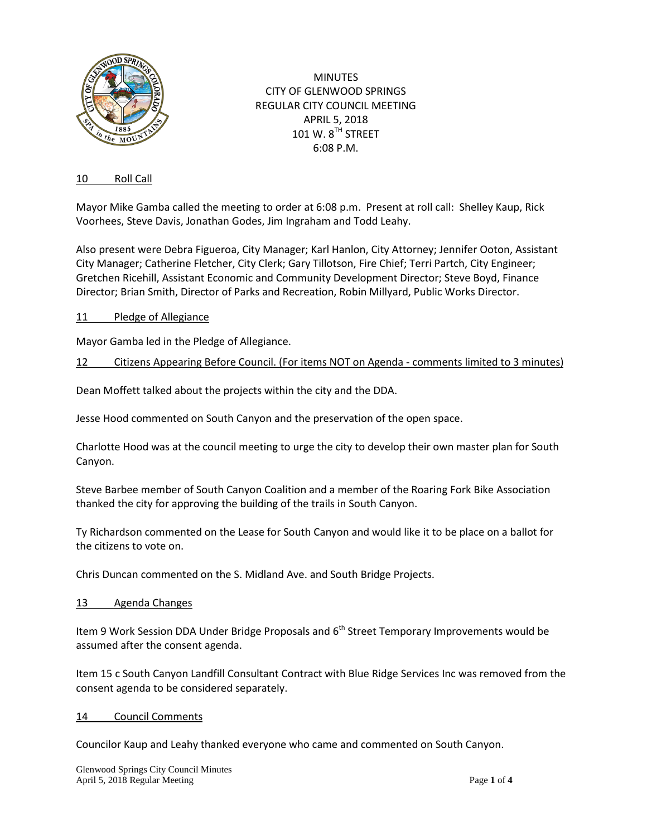

MINUTES CITY OF GLENWOOD SPRINGS REGULAR CITY COUNCIL MEETING APRIL 5, 2018 101 W.  $8^{TH}$  STREET 6:08 P.M.

### 10 Roll Call

Mayor Mike Gamba called the meeting to order at 6:08 p.m. Present at roll call: Shelley Kaup, Rick Voorhees, Steve Davis, Jonathan Godes, Jim Ingraham and Todd Leahy.

Also present were Debra Figueroa, City Manager; Karl Hanlon, City Attorney; Jennifer Ooton, Assistant City Manager; Catherine Fletcher, City Clerk; Gary Tillotson, Fire Chief; Terri Partch, City Engineer; Gretchen Ricehill, Assistant Economic and Community Development Director; Steve Boyd, Finance Director; Brian Smith, Director of Parks and Recreation, Robin Millyard, Public Works Director.

#### 11 Pledge of Allegiance

Mayor Gamba led in the Pledge of Allegiance.

## 12 Citizens Appearing Before Council. (For items NOT on Agenda - comments limited to 3 minutes)

Dean Moffett talked about the projects within the city and the DDA.

Jesse Hood commented on South Canyon and the preservation of the open space.

Charlotte Hood was at the council meeting to urge the city to develop their own master plan for South Canyon.

Steve Barbee member of South Canyon Coalition and a member of the Roaring Fork Bike Association thanked the city for approving the building of the trails in South Canyon.

Ty Richardson commented on the Lease for South Canyon and would like it to be place on a ballot for the citizens to vote on.

Chris Duncan commented on the S. Midland Ave. and South Bridge Projects.

#### 13 Agenda Changes

Item 9 Work Session DDA Under Bridge Proposals and  $6<sup>th</sup>$  Street Temporary Improvements would be assumed after the consent agenda.

Item 15 c South Canyon Landfill Consultant Contract with Blue Ridge Services Inc was removed from the consent agenda to be considered separately.

#### 14 Council Comments

Councilor Kaup and Leahy thanked everyone who came and commented on South Canyon.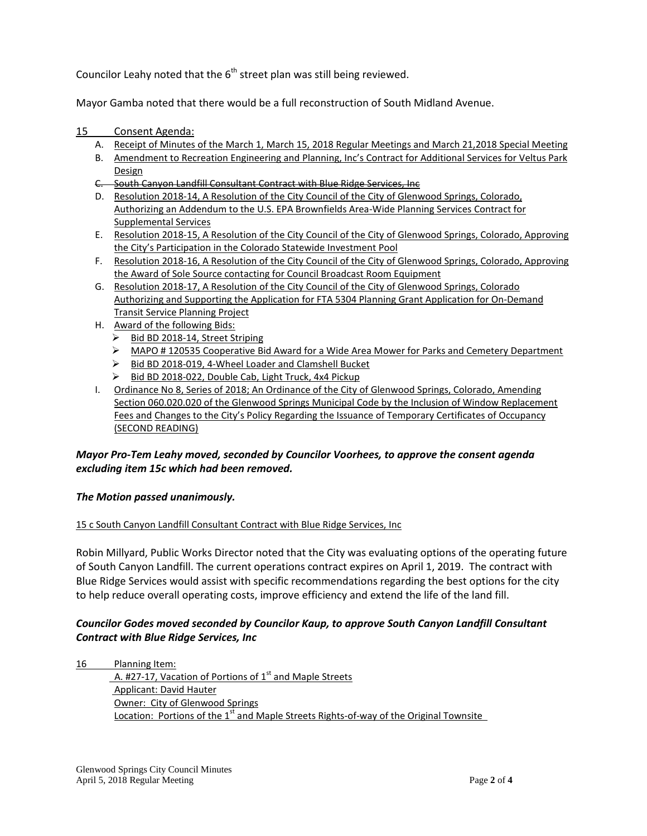Councilor Leahy noted that the  $6<sup>th</sup>$  street plan was still being reviewed.

Mayor Gamba noted that there would be a full reconstruction of South Midland Avenue.

- 15 Consent Agenda:
	- A. Receipt of Minutes of the March 1, March 15, 2018 Regular Meetings and March 21,2018 Special Meeting
	- B. Amendment to Recreation Engineering and Planning, Inc's Contract for Additional Services for Veltus Park Design
	- C. South Canyon Landfill Consultant Contract with Blue Ridge Services, Inc
	- D. Resolution 2018-14, A Resolution of the City Council of the City of Glenwood Springs, Colorado, Authorizing an Addendum to the U.S. EPA Brownfields Area-Wide Planning Services Contract for Supplemental Services
	- E. Resolution 2018-15, A Resolution of the City Council of the City of Glenwood Springs, Colorado, Approving the City's Participation in the Colorado Statewide Investment Pool
	- F. Resolution 2018-16, A Resolution of the City Council of the City of Glenwood Springs, Colorado, Approving the Award of Sole Source contacting for Council Broadcast Room Equipment
	- G. Resolution 2018-17, A Resolution of the City Council of the City of Glenwood Springs, Colorado Authorizing and Supporting the Application for FTA 5304 Planning Grant Application for On-Demand Transit Service Planning Project
	- H. Award of the following Bids:
		- Bid BD 2018-14, Street Striping
		- MAPO # 120535 Cooperative Bid Award for a Wide Area Mower for Parks and Cemetery Department
		- Bid BD 2018-019, 4-Wheel Loader and Clamshell Bucket
		- ▶ Bid BD 2018-022, Double Cab, Light Truck, 4x4 Pickup
	- I. Ordinance No 8, Series of 2018; An Ordinance of the City of Glenwood Springs, Colorado, Amending Section 060.020.020 of the Glenwood Springs Municipal Code by the Inclusion of Window Replacement Fees and Changes to the City's Policy Regarding the Issuance of Temporary Certificates of Occupancy (SECOND READING)

# *Mayor Pro-Tem Leahy moved, seconded by Councilor Voorhees, to approve the consent agenda excluding item 15c which had been removed.*

## *The Motion passed unanimously.*

## 15 c South Canyon Landfill Consultant Contract with Blue Ridge Services, Inc

Robin Millyard, Public Works Director noted that the City was evaluating options of the operating future of South Canyon Landfill. The current operations contract expires on April 1, 2019. The contract with Blue Ridge Services would assist with specific recommendations regarding the best options for the city to help reduce overall operating costs, improve efficiency and extend the life of the land fill.

# *Councilor Godes moved seconded by Councilor Kaup, to approve South Canyon Landfill Consultant Contract with Blue Ridge Services, Inc*

16 Planning Item: A. #27-17, Vacation of Portions of 1<sup>st</sup> and Maple Streets Applicant: David Hauter Owner:City of Glenwood Springs Location: Portions of the  $1<sup>st</sup>$  and Maple Streets Rights-of-way of the Original Townsite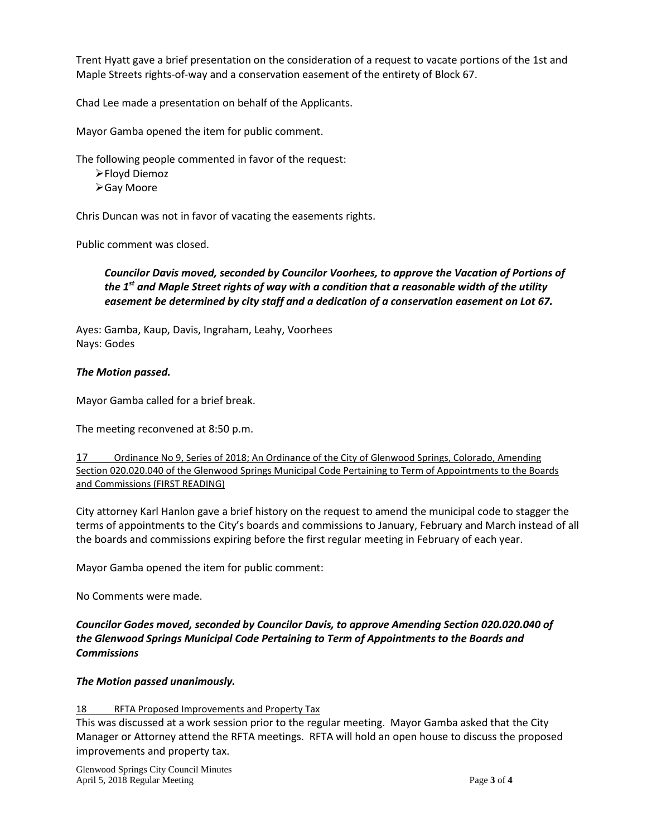Trent Hyatt gave a brief presentation on the consideration of a request to vacate portions of the 1st and Maple Streets rights-of-way and a conservation easement of the entirety of Block 67.

Chad Lee made a presentation on behalf of the Applicants.

Mayor Gamba opened the item for public comment.

The following people commented in favor of the request:

Floyd Diemoz Gay Moore

Chris Duncan was not in favor of vacating the easements rights.

Public comment was closed.

*Councilor Davis moved, seconded by Councilor Voorhees, to approve the Vacation of Portions of the 1st and Maple Street rights of way with a condition that a reasonable width of the utility easement be determined by city staff and a dedication of a conservation easement on Lot 67.*

Ayes: Gamba, Kaup, Davis, Ingraham, Leahy, Voorhees Nays: Godes

## *The Motion passed.*

Mayor Gamba called for a brief break.

The meeting reconvened at 8:50 p.m.

| 17 | Ordinance No 9, Series of 2018; An Ordinance of the City of Glenwood Springs, Colorado, Amending            |
|----|-------------------------------------------------------------------------------------------------------------|
|    | Section 020.020.040 of the Glenwood Springs Municipal Code Pertaining to Term of Appointments to the Boards |
|    | and Commissions (FIRST READING)                                                                             |

City attorney Karl Hanlon gave a brief history on the request to amend the municipal code to stagger the terms of appointments to the City's boards and commissions to January, February and March instead of all the boards and commissions expiring before the first regular meeting in February of each year.

Mayor Gamba opened the item for public comment:

No Comments were made.

*Councilor Godes moved, seconded by Councilor Davis, to approve Amending Section 020.020.040 of the Glenwood Springs Municipal Code Pertaining to Term of Appointments to the Boards and Commissions*

## *The Motion passed unanimously.*

## 18 RFTA Proposed Improvements and Property Tax

This was discussed at a work session prior to the regular meeting. Mayor Gamba asked that the City Manager or Attorney attend the RFTA meetings. RFTA will hold an open house to discuss the proposed improvements and property tax.